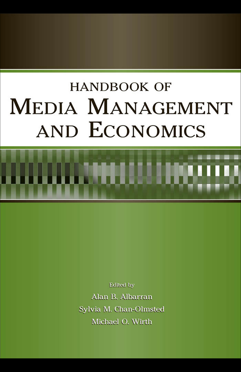# **HANDBOOK OF MEDIA MANAGEMENT** AND ECONOMICS



**Edited by** 

Alan B. Albarran Sylvia M. Chan-Olmsted Michael O. Wirth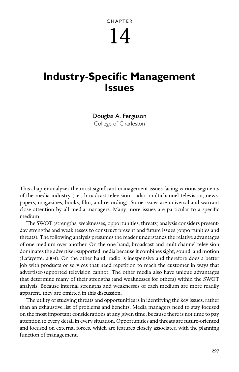# CHAPTER 14

# **Industry-Specific Management Issues**

Douglas A. Ferguson College of Charleston

This chapter analyzes the most significant management issues facing various segments of the media industry (i.e., broadcast television, radio, multichannel television, newspapers, magazines, books, film, and recording). Some issues are universal and warrant close attention by all media managers. Many more issues are particular to a specific medium.

The SWOT (strengths, weaknesses, opportunities, threats) analysis considers presentday strengths and weaknesses to construct present and future issues (opportunities and threats). The following analysis presumes the reader understands the relative advantages of one medium over another. On the one hand, broadcast and multichannel television dominates the advertiser-supported media because it combines sight, sound, and motion (Lafayette, 2004). On the other hand, radio is inexpensive and therefore does a better job with products or services that need repetition to reach the customer in ways that advertiser-supported television cannot. The other media also have unique advantages that determine many of their strengths (and weaknesses for others) within the SWOT analysis. Because internal strengths and weaknesses of each medium are more readily apparent, they are omitted in this discussion.

The utility of studying threats and opportunities is in identifying the key issues, rather than an exhaustive list of problems and benefits. Media managers need to stay focused on the most important considerations at any given time, because there is not time to pay attention to every detail in every situation. Opportunities and threats are future-oriented and focused on external forces, which are features closely associated with the planning function of management.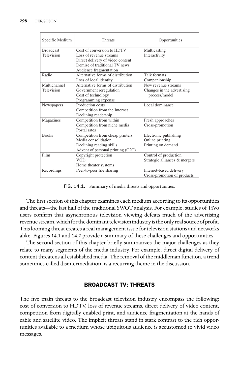| Specific Medium  | <b>Threats</b>                    | Opportunities                 |  |  |
|------------------|-----------------------------------|-------------------------------|--|--|
| <b>Broadcast</b> | Cost of conversion to HDTV        | Multicasting                  |  |  |
| Television       | Loss of revenue streams           | Interactivity                 |  |  |
|                  | Direct delivery of video content  |                               |  |  |
|                  | Demise of traditional TV news     |                               |  |  |
|                  | Audience fragmentation            |                               |  |  |
| Radio            | Alternative forms of distribution | Talk formats                  |  |  |
|                  | Loss of local identity            | Companionship                 |  |  |
| Multichannel     | Alternative forms of distribution | New revenue streams           |  |  |
| Television       | Government reregulation           | Changes in the advertising    |  |  |
|                  | Cost of technology                | process/model                 |  |  |
|                  | Programming expense               |                               |  |  |
| Newspapers       | Production costs                  | Local dominance               |  |  |
|                  | Competition from the Internet     |                               |  |  |
|                  | Declining readership              |                               |  |  |
| Magazines        | Competition from within           | Fresh approaches              |  |  |
|                  | Competition from niche media      | Cross-promotion               |  |  |
|                  | Postal rates                      |                               |  |  |
| <b>Books</b>     | Competition from cheap printers   | Electronic publishing         |  |  |
|                  | Media consolidation               | Online printing               |  |  |
|                  | Declining reading skills          | Printing on demand            |  |  |
|                  | Advent of personal printing (C2C) |                               |  |  |
| Film             | Copyright protection              | Control of production         |  |  |
|                  | <b>VOD</b>                        | Strategic alliances & mergers |  |  |
|                  | Home theater systems              |                               |  |  |
| Recordings       | Peer-to-peer file sharing         | Internet-based delivery       |  |  |
|                  |                                   | Cross-promotion of products   |  |  |

FIG. 14.1. Summary of media threats and opportunities.

The first section of this chapter examines each medium according to its opportunities and threats—the last half of the traditional SWOT analysis. For example, studies of TiVo users confirm that asynchronous television viewing defeats much of the advertising revenue stream, which for the dominant television industry is the only real source of profit. This looming threat creates a real management issue for television stations and networks alike. Figures 14.1 and 14.2 provide a summary of these challenges and opportunities.

The second section of this chapter briefly summarizes the major challenges as they relate to many segments of the media industry. For example, direct digital delivery of content threatens all established media. The removal of the middleman function, a trend sometimes called disintermediation, is a recurring theme in the discussion.

#### BROADCAST TV: THREATS

The five main threats to the broadcast television industry encompass the following: cost of conversion to HDTV, loss of revenue streams, direct delivery of video content, competition from digitally enabled print, and audience fragmentation at the hands of cable and satellite video. The implicit threats stand in stark contrast to the rich opportunities available to a medium whose ubiquitous audience is accustomed to vivid video messages.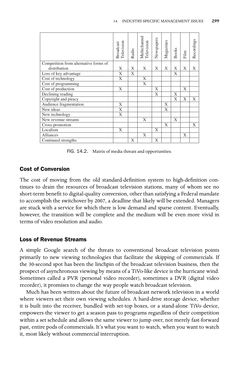|                                       | Television<br><b>Broadcast</b> | Radio | Multichannel<br>Television | Newspapers | Magazines | <b>Books</b> | Film | Recordings |
|---------------------------------------|--------------------------------|-------|----------------------------|------------|-----------|--------------|------|------------|
| Competition from alternative forms of |                                |       |                            |            |           |              |      |            |
| distribution                          | X                              | X     | X                          | X          | X         | X            | X    | X          |
| Loss of key advantage                 | X                              | X     |                            |            |           | X            |      |            |
| Cost of technology                    | X                              |       | X                          |            |           |              |      |            |
| Cost of programming                   |                                |       | X                          |            |           |              |      |            |
| Cost of production                    | X                              |       |                            | X          |           |              | X    |            |
| Declining reading                     |                                |       |                            | X          |           | X            |      |            |
| Copyright and piracy                  |                                |       |                            |            |           | X            | X    | X          |
| Audience fragmentation                | X                              |       |                            |            | X         |              |      |            |
| New ideas                             | X                              |       |                            |            | X         |              |      |            |
| New technology                        | X                              |       |                            |            |           |              |      |            |
| New revenue streams                   |                                |       | X                          |            |           | X            |      |            |
| Cross-promotion                       |                                |       |                            |            | X         |              |      | X          |
| Localism                              | X                              |       |                            | X          |           |              |      |            |
| Alliances                             |                                |       | X                          |            |           |              | X    |            |
| Continued strengths                   |                                | X     |                            | X          |           |              |      |            |
|                                       |                                |       |                            |            |           |              |      |            |

FIG. 14.2. Matrix of media threats and opportunities.

#### Cost of Conversion

The cost of moving from the old standard-definition system to high-definition continues to drain the resources of broadcast television stations, many of whom see no short-term benefit to digital-quality conversion, other than satisfying a Federal mandate to accomplish the switchover by 2007, a deadline that likely will be extended. Managers are stuck with a service for which there is low demand and sparse content. Eventually, however, the transition will be complete and the medium will be even more vivid in terms of video resolution and audio.

#### Loss of Revenue Streams

A simple Google search of the threats to conventional broadcast television points primarily to new viewing technologies that facilitate the skipping of commercials. If the 30-second spot has been the linchpin of the broadcast television business, then the prospect of asynchronous viewing by means of a TiVo-like device is the hurricane wind. Sometimes called a PVR (personal video recorder), sometimes a DVR (digital video recorder), it promises to change the way people watch broadcast television.

Much has been written about the future of broadcast network television in a world where viewers set their own viewing schedules. A hard-drive storage device, whether it is built into the receiver, bundled with set-top boxes, or a stand-alone TiVo device, empowers the viewer to get a season pass to programs regardless of their competition within a set schedule and allows the same viewer to jump over, not merely fast-forward past, entire pods of commercials. It's what you want to watch, when you want to watch it, most likely without commercial interruption.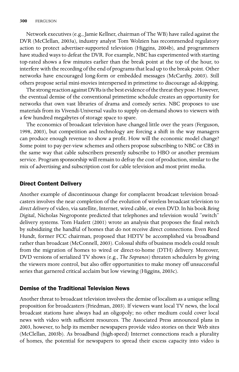Network executives (e.g., Jamie Kellner, chairman of The WB) have railed against the DVR (McClellan, 2003a), industry analyst Tom Wolzien has recommended regulatory action to protect advertiser-supported television (Higgins, 2004b), and programmers have studied ways to defeat the DVR. For example, NBC has experimented with starting top-rated shows a few minutes earlier than the break point at the top of the hour, to interfere with the recording of the end of programs that lead up to the break point. Other networks have encouraged long-form or embedded messages (McCarthy, 2003). Still others propose serial mini-movies interspersed in primetime to discourage ad-skipping.

The strong reaction against DVRs is the best evidence of the threat they pose. However, the eventual demise of the conventional primetime schedule creates an opportunity for networks that own vast libraries of drama and comedy series. NBC proposes to use materials from its Vivendi-Universal vaults to supply on-demand shows to viewers with a few hundred megabytes of storage space to spare.

The economics of broadcast television have changed little over the years (Ferguson, 1998, 2003), but competition and technology are forcing a shift in the way managers can produce enough revenue to show a profit. How will the economic model change? Some point to pay-per-view schemes and others propose subscribing to NBC or CBS in the same way that cable subscribers presently subscribe to HBO or another premium service. Program sponsorship will remain to defray the cost of production, similar to the mix of advertising and subscription cost for cable television and most print media.

### Direct Content Delivery

Another example of discontinuous change for complacent broadcast television broadcasters involves the near completion of the evolution of wireless broadcast television to *direct delivery* of video, via satellite, Internet, wired cable, or even DVD. In his book *Being Digital*, Nicholas Negroponte predicted that telephones and television would "switch" delivery systems. Tom Hazlett (2001) wrote an analysis that proposes the final switch by subsidizing the handful of homes that do not receive direct connections. Even Reed Hundt, former FCC chairman, proposed that HDTV be accomplished via broadband rather than broadcast (McConnell, 2003). Colossal shifts of business models could result from the migration of homes to wired or direct-to-home (DTH) delivery. Moreover, DVD versions of serialized TV shows (e.g., *The Sopranos*) threaten schedulers by giving the viewers more control, but also offer opportunities to make money off unsuccessful series that garnered critical acclaim but low viewing (Higgins, 2003c).

#### Demise of the Traditional Television News

Another threat to broadcast television involves the demise of localism as a unique selling proposition for broadcasters (Friedman, 2003). If viewers want local TV news, the local broadcast stations have always had an oligopoly; no other medium could cover local news with video with sufficient resources. The Associated Press announced plans in 2003, however, to help its member newspapers provide video stories on their Web sites (McClellan, 2003b). As broadband (high-speed) Internet connections reach a plurality of homes, the potential for newspapers to spread their excess capacity into video is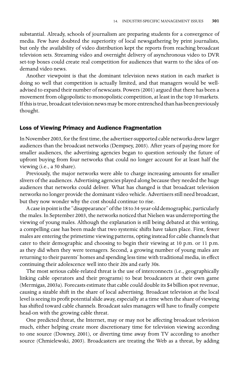substantial. Already, schools of journalism are preparing students for a convergence of media. Few have doubted the superiority of local newsgathering by print journalists, but only the availability of video distribution kept the reports from reaching broadcast television sets. Streaming video and overnight delivery of asynchronous video to DVR set-top boxes could create real competition for audiences that warm to the idea of ondemand video news.

Another viewpoint is that the dominant television news station in each market is doing so well that competition is actually limited, and that managers would be welladvised to expand their number of newscasts. Powers (2001) argued that there has been a movement from oligopolistic to monopolistic competition, at least in the top 10 markets. If this is true, broadcast television news may be more entrenched than has been previously thought.

#### Loss of Viewing Primacy and Audience Fragmentation

In November 2003, for the first time, the advertiser-supported cable networks drew larger audiences than the broadcast networks (Dempsey, 2003). After years of paying more for smaller audiences, the advertising agencies began to question seriously the future of upfront buying from four networks that could no longer account for at least half the viewing (i.e., a 50 share).

Previously, the major networks were able to charge increasing amounts for smaller slivers of the audiences. Advertising agencies played along because they needed the huge audiences that networks could deliver. What has changed is that broadcast television networks no longer provide the dominant video vehicle. Advertisers still need broadcast, but they now wonder why the cost should continue to rise.

A case in point is the "disappearance" of the 18 to 34-year-old demographic, particularly the males. In September 2003, the networks noticed that Nielsen was underreporting the viewing of young males. Although the explanation is still being debated at this writing, a compelling case has been made that two systemic shifts have taken place. First, fewer males are entering the primetime viewing patterns, opting instead for cable channels that cater to their demographic and choosing to begin their viewing at 10 p.m. or 11 p.m. as they did when they were teenagers. Second, a growing number of young males are returning to their parents' homes and spending less time with traditional media, in effect continuing their adolescence well into their 20s and early 30s.

The most serious cable-related threat is the use of interconnects (i.e., geographically linking cable operators and their programs) to beat broadcasters at their own game (Mermigas, 2003a). Forecasts estimate that cable could double its \$4 billion spot revenue, causing a sizable shift in the share of local advertising. Broadcast television at the local level is seeing its profit potential slide away, especially at a time when the share of viewing has shifted toward cable channels. Broadcast sales managers will have to finally compete head-on with the growing cable threat.

One predicted threat, the Internet, may or may not be affecting broadcast television much, either helping create more discretionary time for television viewing according to one source (Downey, 2001), or diverting time away from TV according to another source (Chmielewski, 2003). Broadcasters are treating the Web as a threat, by adding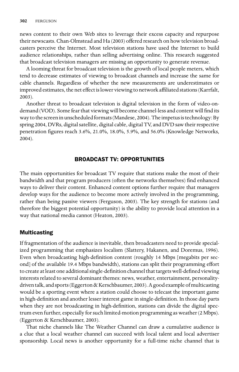news content to their own Web sites to leverage their excess capacity and repurpose their newscasts. Chan-Olmstead and Ha (2003) offered research on how television broadcasters perceive the Internet. Most television stations have used the Internet to build audience relationships, rather than selling advertising online. This research suggested that broadcast television managers are missing an opportunity to generate revenue.

A looming threat for broadcast television is the growth of local people meters, which tend to decrease estimates of viewing to broadcast channels and increase the same for cable channels. Regardless of whether the new measurements are underestimates or improved estimates, the net effect is lower viewing to network affiliated stations (Karrfalt, 2003).

Another threat to broadcast television is digital television in the form of video-ondemand (VOD). Some fear that viewing will become channel-less and content will find its way to the screen in unscheduled formats (Mandese, 2004). The impetus is technology: By spring 2004, DVRs, digital satellite, digital cable, digital TV, and DVD saw their respective penetration figures reach 3.6%, 21.0%, 18.0%, 5.9%, and 56.0% (Knowledge Networks, 2004).

#### BROADCAST TV: OPPORTUNITIES

The main opportunities for broadcast TV require that stations make the most of their bandwidth and that program producers (often the networks themselves) find enhanced ways to deliver their content. Enhanced content options further require that managers develop ways for the audience to become more actively involved in the programming, rather than being passive viewers (Ferguson, 2003). The key strength for stations (and therefore the biggest potential opportunity) is the ability to provide local attention in a way that national media cannot (Heaton, 2003).

#### **Multicasting**

If fragmentation of the audience is inevitable, then broadcasters need to provide specialized programming that emphasizes localism (Slattery, Hakanen, and Doremus, 1996). Even when broadcasting high-definition content (roughly 14 Mbps [megabits per second] of the available 19.4 Mbps bandwidth), stations can split their programming effort to create at least one additional single-definition channel that targets well-defined viewing interests related to several dominant themes: news, weather, entertainment, personalitydriven talk, and sports (Eggerton & Kerschbaumer, 2003). A good example of multicasting would be a sporting event where a station could choose to telecast the important game in high-definition and another lesser interest game in single-definition. In those day parts when they are not broadcasting in high-definition, stations can divide the digital spectrum even further, especially for such limited-motion programming as weather (2 Mbps). (Eggerton & Kerschbaumer, 2003).

That niche channels like The Weather Channel can draw a cumulative audience is a clue that a local weather channel can succeed with local talent and local advertiser sponsorship. Local news is another opportunity for a full-time niche channel that is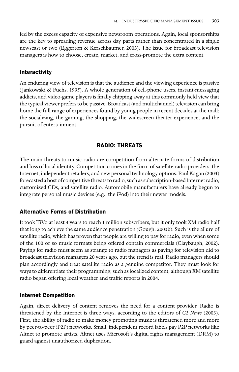fed by the excess capacity of expensive newsroom operations. Again, local sponsorships are the key to spreading revenue across day parts rather than concentrated in a single newscast or two (Eggerton & Kerschbaumer, 2003). The issue for broadcast television managers is how to choose, create, market, and cross-promote the extra content.

# **Interactivity**

An enduring view of television is that the audience and the viewing experience is passive (Jankowski & Fuchs, 1995). A whole generation of cell-phone users, instant-messaging addicts, and video-game players is finally chipping away at this commonly held view that the typical viewer prefers to be passive. Broadcast (and multichannel) television can bring home the full range of experiences found by young people in recent decades at the mall: the socializing, the gaming, the shopping, the widescreen theater experience, and the pursuit of entertainment.

# RADIO: THREATS

The main threats to music radio are competition from alternate forms of distribution and loss of local identity. Competition comes in the form of satellite radio providers, the Internet, independent retailers, and new personal technology options. Paul Kagan (2003) forecasted a host of competitive threats to radio, such as subscription-basedInternet radio, customized CDs, and satellite radio. Automobile manufacturers have already begun to integrate personal music devices (e.g., the iPod) into their newer models.

# Alternative Forms of Distribution

It took TiVo at least 4 years to reach 1 million subscribers, but it only took XM radio half that long to achieve the same audience penetration (Gough, 2003b). Such is the allure of satellite radio, which has proven that people are willing to pay for radio, even when some of the 100 or so music formats being offered contain commercials (Claybaugh, 2002). Paying for radio must seem as strange to radio managers as paying for television did to broadcast television managers 20 years ago, but the trend is real. Radio managers should plan accordingly and treat satellite radio as a genuine competitor. They must look for ways to differentiate their programming, such as localized content, although XM satellite radio began offering local weather and traffic reports in 2004.

# Internet Competition

Again, direct delivery of content removes the need for a content provider. Radio is threatened by the Internet is three ways, according to the editors of *G2 News* (2003). First, the ability of radio to make money promoting music is threatened more and more by peer-to-peer (P2P) networks. Small, independent record labels pay P2P networks like Altnet to promote artists. Altnet uses Microsoft's digital rights management (DRM) to guard against unauthorized duplication.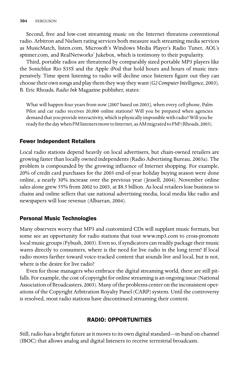Second, free and low-cost streaming music on the Internet threatens conventional radio. Arbitron and Nielsen rating services both measure such streaming media services as MusicMatch, listen.com, Microsoft's Windows Media Player's Radio Tuner, AOL's spinner.com, and RealNetworks' Jukebox, which is testimony to their popularity.

Third, portable radios are threatened by comparably sized portable MP3 players like the Sonicblue Rio S35S and the Apple iPod that hold hours and hours of music inexpensively. Time spent listening to radio will decline once listeners figure out they can choose their own songs and play them they way they want(*G2 ComputerIntelligence*, 2003). B. Eric Rhoads, *Radio Ink* Magazine publisher, states:

What will happen four years from now [2007 based on 2003], when every cell phone, Palm Pilot and car radio receives 20,000 online stations? Will you be prepared when agencies demand that you provide interactivity, which is physically impossible with radio? Will you be ready for the day when FM listeners move to Internet, as AM migrated to FM? (Rhoads, 2003).

# Fewer Independent Retailers

Local radio stations depend heavily on local advertisers, but chain-owned retailers are growing faster than locally owned independents (Radio Advertising Bureau, 2003a). The problem is compounded by the growing influence of Internet shopping. For example, 20% of credit card purchases for the 2003 end-of-year holiday buying season were done online, a nearly 30% increase over the previous year (Jessell, 2004). November online sales alone grew 55% from 2002 to 2003, at \$8.5 billion. As local retailers lose business to chains and online sellers that use national advertising media, local media like radio and newspapers will lose revenue (Albarran, 2004).

# Personal Music Technologies

Many observers worry that MP3 and customized CDs will supplant music formats, but some see an opportunity for radio stations that tout www.mp3.com to cross-promote local music groups (Fybush, 2003). Even so, if syndicators can readily package their music wares directly to consumers, where is the need for live radio in the long term? If local radio moves farther toward voice-tracked content that sounds live and local, but is not, where is the desire for live radio?

Even for those managers who embrace the digital streaming world, there are still pitfalls. For example, the cost of copyright for online streaming is an ongoing issue (National Association of Broadcasters, 2003). Many of the problems center on the inconsistent operations of the Copyright Arbitration Royalty Panel (CARP) system. Until the controversy is resolved, most radio stations have discontinued streaming their content.

# RADIO: OPPORTUNITIES

Still, radio has a bright future as it moves to its own digital standard—in-band on-channel (IBOC) that allows analog and digital listeners to receive terrestrial broadcasts.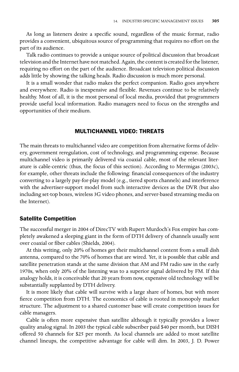As long as listeners desire a specific sound, regardless of the music format, radio provides a convenient, ubiquitous source of programming that requires no effort on the part of its audience.

Talk radio continues to provide a unique source of political discussion that broadcast television and the Internet have not matched. Again, the content is created for the listener, requiring no effort on the part of the audience. Broadcast television political discussion adds little by showing the talking heads. Radio discussion is much more personal.

It is a small wonder that radio makes the perfect companion. Radio goes anywhere and everywhere. Radio is inexpensive and flexible. Revenues continue to be relatively healthy. Most of all, it is the most personal of local media, provided that programmers provide useful local information. Radio managers need to focus on the strengths and opportunities of their medium.

#### MULTICHANNEL VIDEO: THREATS

The main threats to multichannel video are competition from alternative forms of delivery, government reregulation, cost of technology, and programming expense. Because multichannel video is primarily delivered via coaxial cable, most of the relevant literature is cable-centric (thus, the focus of this section). According to Mermigas (2003c), for example, other threats include the following: financial consequences of the industry converting to a largely pay-for-play model (e.g., tiered sports channels) and interference with the advertiser-support model from such interactive devices as the DVR (but also including set-top boxes, wireless 3G video phones, and server-based streaming media on the Internet).

#### Satellite Competition

The successful merger in 2004 of DirecTV with Rupert Murdoch's Fox empire has completely awakened a sleeping giant in the form of DTH delivery of channels usually sent over coaxial or fiber cables (Shields, 2004).

At this writing, only 20% of homes get their multichannel content from a small dish antenna, compared to the 70% of homes that are wired. Yet, it is possible that cable and satellite penetration stands at the same division that AM and FM radio saw in the early 1970s, when only 20% of the listening was to a superior signal delivered by FM. If this analogy holds, it is conceivable that 20 years from now, expensive old technology will be substantially supplanted by DTH delivery.

It is more likely that cable will survive with a large share of homes, but with more fierce competition from DTH. The economics of cable is rooted in monopoly market structure. The adjustment to a shared customer base will create competition issues for cable managers.

Cable is often more expensive than satellite although it typically provides a lower quality analog signal. In 2003 the typical cable subscriber paid \$40 per month, but DISH offered 50 channels for \$25 per month. As local channels are added to most satellite channel lineups, the competitive advantage for cable will dim. In 2003, J. D. Power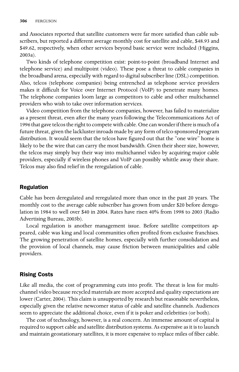and Associates reported that satellite customers were far more satisfied than cable subscribers, but reported a different average monthly cost for satellite and cable, \$48.93 and \$49.62, respectively, when other services beyond basic service were included (Higgins, 2003a).

Two kinds of telephone competition exist: point-to-point (broadband Internet and telephone service) and multipoint (video). These pose a threat to cable companies in the broadband arena, especially with regard to digital subscriber line (DSL) competition. Also, telcos (telephone companies) being entrenched as telephone service providers makes it difficult for Voice over Internet Protocol (VoIP) to penetrate many homes. The telephone companies loom large as competitors to cable and other multichannel providers who wish to take over information services.

Video competition from the telephone companies, however, has failed to materialize as a present threat, even after the many years following the Telecommunications Act of 1996 that gave telcos the right to compete with cable. One can wonder if there is much of a future threat, given the lackluster inroads made by any form of telco-sponsored program distribution. It would seem that the telcos have figured out that the "one wire" home is likely to be the wire that can carry the most bandwidth. Given their sheer size, however, the telcos may simply buy their way into multichannel video by acquiring major cable providers, especially if wireless phones and VoIP can possibly whittle away their share. Telcos may also find relief in the reregulation of cable.

# Regulation

Cable has been deregulated and reregulated more than once in the past 20 years. The monthly cost to the average cable subscriber has grown from under \$20 before deregulation in 1984 to well over \$40 in 2004. Rates have risen 40% from 1998 to 2003 (Radio Advertising Bureau, 2003b).

Local regulation is another management issue. Before satellite competitors appeared, cable was king and local communities often profited from exclusive franchises. The growing penetration of satellite homes, especially with further consolidation and the provision of local channels, may cause friction between municipalities and cable providers.

# Rising Costs

Like all media, the cost of programming cuts into profit. The threat is less for multichannel video because recycled materials are more accepted and quality expectations are lower (Carter, 2004). This claim is unsupported by research but reasonable nevertheless, especially given the relative newcomer status of cable and satellite channels. Audiences seem to appreciate the additional choice, even if it is poker and celebrities (or both).

The cost of technology, however, is a real concern. An immense amount of capital is required to support cable and satellite distribution systems. As expensive as it is to launch and maintain geostationary satellites, it is more expensive to replace miles of fiber cable.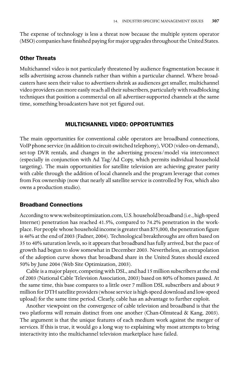The expense of technology is less a threat now because the multiple system operator (MSO) companies have finished paying for major upgrades throughout the United States.

#### Other Threats

Multichannel video is not particularly threatened by audience fragmentation because it sells advertising across channels rather than within a particular channel. Where broadcasters have seen their value to advertisers shrink as audiences get smaller, multichannel video providers can more easily reach all their subscribers, particularly with roadblocking techniques that position a commercial on all advertiser-supported channels at the same time, something broadcasters have not yet figured out.

#### MULTICHANNEL VIDEO: OPPORTUNITIES

The main opportunities for conventional cable operators are broadband connections, VoIP phone service (in addition to circuit-switched telephony), VOD (video-on-demand), set-top DVR rentals, and changes in the advertising process/model via interconnect (especially in conjunction with Ad Tag/Ad Copy, which permits individual household targeting). The main opportunities for satellite television are achieving greater parity with cable through the addition of local channels and the program leverage that comes from Fox ownership (now that nearly all satellite service is controlled by Fox, which also owns a production studio).

#### Broadband Connections

According to www.websiteoptimization.com,U.S. household broadband(i.e., high-speed Internet) penetration has reached 41.5%, compared to 74.2% penetration in the workplace. For people whose household income is greater than \$75,000, the penetration figure is 46% at the end of 2003 (Fadner, 2004). Technological breakthroughs are often based on 35 to 40% saturation levels, so it appears that broadband has fully arrived, but the pace of growth had begun to slow somewhat in December 2003. Nevertheless, an extrapolation of the adoption curve shows that broadband share in the United States should exceed 50% by June 2004 (Web Site Optimization, 2003).

Cable is a major player, competing with DSL, and had 15 million subscribers at the end of 2003 (National Cable Television Association, 2003) based on 80% of homes passed. At the same time, this base compares to a little over 7 million DSL subscribers and about 9 million for DTH satellite providers (whose service is high-speed download and low-speed upload) for the same time period. Clearly, cable has an advantage to further exploit.

Another viewpoint on the convergence of cable television and broadband is that the two platforms will remain distinct from one another (Chan-Olmstead & Kang, 2003). The argument is that the unique features of each medium work against the merger of services. If this is true, it would go a long way to explaining why most attempts to bring interactivity into the multichannel television marketplace have failed.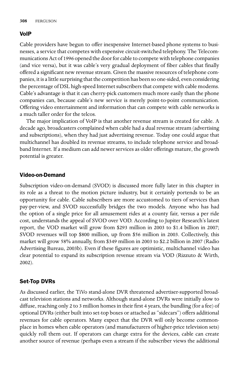# VoIP

Cable providers have begun to offer inexpensive Internet-based phone systems to businesses, a service that competes with expensive circuit-switched telephony. The Telecommunications Act of 1996 opened the door for cable to compete with telephone companies (and vice versa), but it was cable's very gradual deployment of fiber cables that finally offered a significant new revenue stream. Given the massive resources of telephone companies, it is a little surprising that the competition has been so one-sided, even considering the percentage of DSL high-speed Internet subscribers that compete with cable modems. Cable's advantage is that it can cherry-pick customers much more easily than the phone companies can, because cable's new service is merely point-to-point communication. Offering video entertainment and information that can compete with cable networks is a much taller order for the telcos.

The major implication of VoIP is that another revenue stream is created for cable. A decade ago, broadcasters complained when cable had a dual revenue stream (advertising and subscriptions), when they had just advertising revenue. Today one could argue that multichannel has doubled its revenue streams, to include telephone service and broadband Internet. If a medium can add newer services as older offerings mature, the growth potential is greater.

# Video-on-Demand

Subscription video-on-demand (SVOD) is discussed more fully later in this chapter in its role as a threat to the motion picture industry, but it certainly portends to be an opportunity for cable. Cable subscribers are more accustomed to tiers of services than pay-per-view, and SVOD successfully bridges the two models. Anyone who has had the option of a single price for all amusement rides at a county fair, versus a per ride cost, understands the appeal of SVOD over VOD. According to Jupiter Research's latest report, the VOD market will grow from \$293 million in 2003 to \$1.4 billion in 2007; SVOD revenues will top \$800 million, up from \$56 million in 2003. Collectively, this market will grow 58% annually, from \$349 million in 2003 to \$2.2 billion in 2007 (Radio Advertising Bureau, 2003b). Even if these figures are optimistic, multichannel video has clear potential to expand its subscription revenue stream via VOD (Rizzuto & Wirth, 2002).

# Set-Top DVRs

As discussed earlier, the TiVo stand-alone DVR threatened advertiser-supported broadcast television stations and networks. Although stand-alone DVRs were initially slow to diffuse, reaching only 2 to 3 million homes in their first 4 years, the bundling (for a fee) of optional DVRs (either built into set-top boxes or attached as "sidecars") offers additional revenues for cable operators. Many expect that the DVR will only become commonplace in homes when cable operators (and manufacturers of higher-price television sets) quickly roll them out. If operators can charge extra for the devices, cable can create another source of revenue (perhaps even a stream if the subscriber views the additional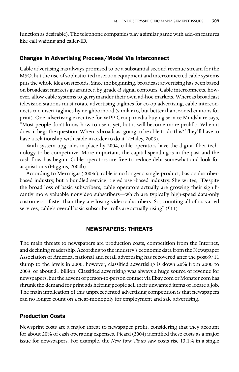function as desirable). The telephone companies play a similar game with add-on features like call waiting and caller-ID.

#### Changes in Advertising Process/Model Via Interconnect

Cable advertising has always promised to be a substantial second revenue stream for the MSO, but the use of sophisticated insertion equipment and interconnected cable systems puts the whole idea on steroids. Since the beginning, broadcast advertising has been based on broadcast markets guaranteed by grade-B signal contours. Cable interconnects, however, allow cable systems to gerrymander their own ad-hoc markets. Whereas broadcast television stations must rotate advertising taglines for co-op advertising, cable interconnects can insert taglines by neighborhood (similar to, but better than, zoned editions for print). One advertising executive for WPP Group media-buying service Mindshare says, "Most people don't know how to use it yet, but it will become more prolific. When it does, it begs the question: When is broadcast going to be able to do this? They'll have to have a relationship with cable in order to do it" (Haley, 2003).

With system upgrades in place by 2004, cable operators have the digital fiber technology to be competitive. More important, the capital spending is in the past and the cash flow has begun. Cable operators are free to reduce debt somewhat and look for acquisitions (Higgins, 2004b).

According to Mermigas (2003c), cable is no longer a single-product, basic subscriberbased industry, but a bundled service, tiered user-based industry. She writes, "Despite the broad loss of basic subscribers, cable operators actually are growing their significantly more valuable nonvideo subscribers—which are typically high-speed data-only customers—faster than they are losing video subscribers. So, counting all of its varied services, cable's overall basic subscriber rolls are actually rising" (¶11).

#### NEWSPAPERS: THREATS

The main threats to newspapers are production costs, competition from the Internet, and declining readership. According to the industry's economic data from the Newspaper Association of America, national and retail advertising has recovered after the post-9/11 slump to the levels in 2000, however, classified advertising is down 20% from 2000 to 2003, or about \$1 billion. Classified advertising was always a huge source of revenue for newspapers, but the advent of person-to-person contact via Ebay.com or Monster.com has shrunk the demand for print ads helping people sell their unwanted items or locate a job. The main implication of this unprecedented advertising competition is that newspapers can no longer count on a near-monopoly for employment and sale advertising.

#### Production Costs

Newsprint costs are a major threat to newspaper profit, considering that they account for about 20% of cash operating expenses. Picard (2004) identified these costs as a major issue for newspapers. For example, the *New York Times* saw costs rise 13.1% in a single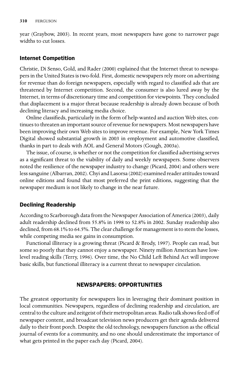year (Graybow, 2003). In recent years, most newspapers have gone to narrower page widths to cut losses.

#### Internet Competition

Christie, Di Senso, Gold, and Rader (2000) explained that the Internet threat to newspapers in the United States is two-fold. First, domestic newspapers rely more on advertising for revenue than do foreign newspapers, especially with regard to classified ads that are threatened by Internet competition. Second, the consumer is also lured away by the Internet, in terms of discretionary time and competition for viewpoints. They concluded that displacement is a major threat because readership is already down because of both declining literacy and increasing media choice.

Online classifieds, particularly in the form of help-wanted and auction Web sites, continues to threaten an important source of revenue for newspapers. Most newspapers have been improving their own Web sites to improve revenue. For example, New York Times Digital showed substantial growth in 2003 in employment and automotive classified, thanks in part to deals with AOL and General Motors (Gough, 2003a).

The issue, of course, is whether or not the competition for classified advertising serves as a significant threat to the viability of daily and weekly newspapers. Some observers noted the resilience of the newspaper industry to change (Picard, 2004) and others were less sanguine (Albarran, 2002). Chyi and Lasorsa (2002) examined reader attitudes toward online editions and found that most preferred the print editions, suggesting that the newspaper medium is not likely to change in the near future.

#### Declining Readership

According to Scarborough data from the Newspaper Association of America (2003), daily adult readership declined from 55.8% in 1998 to 52.8% in 2002. Sunday readership also declined, from 68.1% to 64.5%. The clear challenge for management is to stem the losses, while competing media see gains in consumption.

Functional illiteracy is a growing threat (Picard & Brody, 1997). People can read, but some so poorly that they cannot enjoy a newspaper. Ninety million American have lowlevel reading skills (Terry, 1996). Over time, the No Child Left Behind Act will improve basic skills, but functional illiteracy is a current threat to newspaper circulation.

#### NEWSPAPERS: OPPORTUNITIES

The greatest opportunity for newspapers lies in leveraging their dominant position in local communities. Newspapers, regardless of declining readership and circulation, are central to the culture and zeitgeist of their metropolitan areas. Radio talk shows feed off of newspaper content, and broadcast television news producers get their agenda delivered daily to their front porch. Despite the old technology, newspapers function as the official journal of events for a community, and no one should underestimate the importance of what gets printed in the paper each day (Picard, 2004).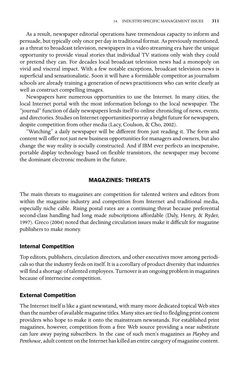As a result, newspaper editorial operations have tremendous capacity to inform and persuade, but typically only once per day in traditional format. As previously mentioned, as a threat to broadcast television, newspapers in a video streaming era have the unique opportunity to provide visual stories that individual TV stations only wish they could or pretend they can. For decades local broadcast television news had a monopoly on vivid and visceral impact. With a few notable exceptions, broadcast television news is superficial and sensationalistic. Soon it will have a formidable competitor as journalism schools are already training a generation of news practitioners who can write clearly as well as construct compelling images.

Newspapers have numerous opportunities to use the Internet. In many cities, the local Internet portal with the most information belongs to the local newspaper. The "journal" function of daily newspapers lends itself to online chronicling of news, events, and directories. Studies on Internet opportunities portray a bright future for newspapers, despite competition from other media (Lacy, Coulson, & Cho, 2002).

"Watching" a daily newspaper will be different from just reading it. The form and content will offer not just new business opportunities for managers and owners, but also change the way reality is socially constructed. And if IBM ever perfects an inexpensive, portable display technology based on flexible transistors, the newspaper may become the dominant electronic medium in the future.

#### MAGAZINES: THREATS

The main threats to magazines are competition for talented writers and editors from within the magazine industry and competition from Internet and traditional media, especially niche cable. Rising postal rates are a continuing threat because preferential second-class handling had long made subscriptions affordable (Daly, Henry, & Ryder, 1997). Greco (2004) noted that declining circulation issues make it difficult for magazine publishers to make money.

#### Internal Competition

Top editors, publishers, circulation directors, and other executives move among periodicals so that the industry feeds on itself. It is a corollary of product diversity that industries will find a shortage of talented employees. Turnover is an ongoing problem in magazines because of internecine competition.

#### External Competition

The Internet itself is like a giant newsstand, with many more dedicated topical Web sites than the number of available magazine titles. Many sites are tied to fledgling print content providers who hope to make it onto the mainstream newsstands. For established print magazines, however, competition from a free Web source providing a near substitute can lure away paying subscribers. In the case of such men's magazines as *Playboy* and *Penthouse*, adult content on the Internet has killed an entire category of magazine content.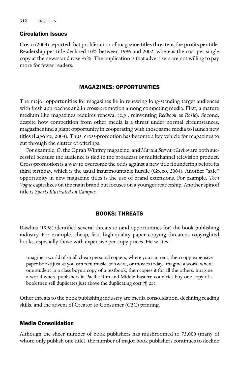# Circulation Issues

Greco (2004) reported that proliferation of magazine titles threatens the profits per title. Readership per title declined 10% between 1996 and 2002, whereas the cost per single copy at the newsstand rose 35%. The implication is that advertisers are not willing to pay more for fewer readers.

# MAGAZINES: OPPORTUNITIES

The major opportunities for magazines lie in renewing long-standing target audiences with fresh approaches and in cross-promotion among competing media. First, a mature medium like magazines requires renewal (e.g., reinventing *Redbook* as *Rosie*). Second, despite how competition from other media is a threat under normal circumstances, magazines find a giant opportunity in cooperating with those same media to launch new titles (Lagorce, 2003). Thus, cross-promotion has become a key vehicle for magazines to cut through the clutter of offerings.

For example, *O*, the Oprah Winfrey magazine, and *Martha Stewart Living* are both successful because the audience is tied to the broadcast or multichannel television product. Cross-promotion is a way to overcome the odds against a new title floundering before its third birthday, which is the usual insurmountable hurdle (Greco, 2004). Another "safe" opportunity in new magazine titles is the use of brand extensions. For example, *Teen Vogue* capitalizes on the main brand but focuses on a younger readership. Another spinoff title is *Sports Illustrated on Campus.*

# BOOKS: THREATS

Rawlins (1998) identified several threats to (and opportunities for) the book publishing industry. For example, cheap, fast, high-quality paper copying threatens copyrighted books, especially those with expensive per-copy prices. He writes:

Imagine a world of small cheap personal copiers, where you can rent, then copy, expensive paper books just as you can rent music, software, or movies today. Imagine a world where one student in a class buys a copy of a textbook, then copies it for all the others. Imagine a world where publishers in Pacific Rim and Middle Eastern countries buy one copy of a book then sell duplicates just above the duplicating cost (¶ 23).

Other threats to the book publishing industry are media consolidation, declining reading skills, and the advent of Creator to Consumer (C2C) printing.

# Media Consolidation

Although the sheer number of book publishers has mushroomed to 73,000 (many of whom only publish one title), the number of major book publishers continues to decline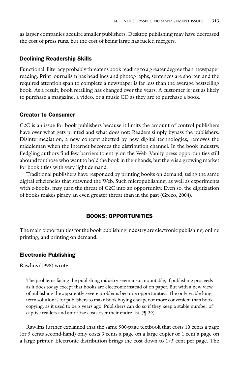as larger companies acquire smaller publishers. Desktop publishing may have decreased the cost of press runs, but the cost of being large has fueled mergers.

#### Declining Readership Skills

Functional illiteracy probably threatens book reading to a greater degree than newspaper reading. Print journalism has headlines and photographs, sentences are shorter, and the required attention span to complete a newspaper is far less than the average bestselling book. As a result, book retailing has changed over the years. A customer is just as likely to purchase a magazine, a video, or a music CD as they are to purchase a book.

#### Creator to Consumer

C2C is an issue for book publishers because it limits the amount of control publishers have over what gets printed and what does not: Readers simply bypass the publishers. Disintermediation, a new concept abetted by new digital technologies, removes the middleman when the Internet becomes the distribution channel. In the book industry, fledgling authors find few barriers to entry on the Web. Vanity press opportunities still abound for those who want to hold the book in their hands, but there is a growing market for book titles with very light demand.

Traditional publishers have responded by printing books on demand, using the same digital efficiencies that spawned the Web. Such micropublishing, as well as experiments with e-books, may turn the threat of C2C into an opportunity. Even so, the digitization of books makes piracy an even greater threat than in the past (Greco, 2004).

#### BOOKS: OPPORTUNITIES

The main opportunities for the book publishing industry are electronic publishing, online printing, and printing on demand.

#### Electronic Publishing

Rawlins (1998) wrote:

The problems facing the publishing industry seem insurmountable, if publishing proceeds as it does today except that books are electronic instead of on paper. But with a new view of publishing the apparently severe problems become opportunities. The only viable longterm solution is for publishers to make book buying cheaper or more convenient than book copying, as it used to be 5 years ago. Publishers can do so if they keep a stable number of captive readers and amortize costs over their entire list. (¶ 29)

Rawlins further explained that the same 500-page textbook that costs 10 cents a page (or 5 cents second-hand) only costs 3 cents a page on a large copier or 1 cent a page on a large printer. Electronic distribution brings the cost down to 1/5 cent per page. The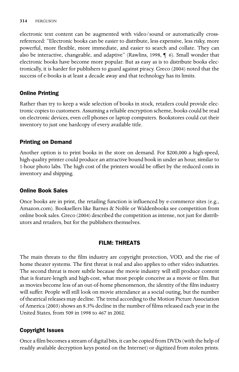electronic text content can be augmented with video/sound or automatically crossreferenced: "Electronic books can be easier to distribute, less expensive, less risky, more powerful, more flexible, more immediate, and easier to search and collate. They can also be interactive, changeable, and adaptive" (Rawlins, 1998, ¶ 6). Small wonder that electronic books have become more popular. But as easy as is to distribute books electronically, it is harder for publishers to guard against piracy. Greco (2004) noted that the success of e-books is at least a decade away and that technology has its limits.

# Online Printing

Rather than try to keep a wide selection of books in stock, retailers could provide electronic copies to customers. Assuming a reliable encryption scheme, books could be read on electronic devices, even cell phones or laptop computers. Bookstores could cut their inventory to just one hardcopy of every available title.

# Printing on Demand

Another option is to print books in the store on demand. For \$200,000 a high-speed, high-quality printer could produce an attractive bound book in under an hour, similar to 1-hour photo labs. The high cost of the printers would be offset by the reduced costs in inventory and shipping.

# Online Book Sales

Once books are in print, the retailing function is influenced by e-commerce sites (e.g., Amazon.com). Booksellers like Barnes & Noble or Waldenbooks see competition from online book sales. Greco (2004) described the competition as intense, not just for distributors and retailers, but for the publishers themselves.

# FILM: THREATS

The main threats to the film industry are copyright protection, VOD, and the rise of home theater systems. The first threat is real and also applies to other video industries. The second threat is more subtle because the movie industry will still produce content that is feature-length and high-cost, what most people conceive as a movie or film. But as movies become less of an out-of-home phenomenon, the identity of the film industry will suffer. People will still look on movie attendance as a social outing, but the number of theatrical releases may decline. The trend according to the Motion Picture Association of America (2003) shows an 8.3% decline in the number of films released each year in the United States, from 509 in 1998 to 467 in 2002.

# Copyright Issues

Once a film becomes a stream of digital bits, it can be copied from DVDs (with the help of readily available decryption keys posted on the Internet) or digitized from stolen prints.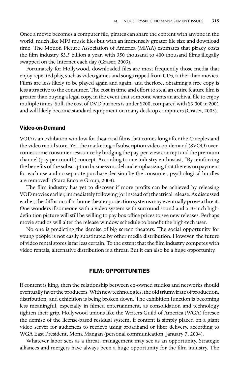Once a movie becomes a computer file, pirates can share the content with anyone in the world, much like MP3 music files but with an immensely greater file size and download time. The Motion Picture Association of America (MPAA) estimates that piracy costs the film industry \$3.5 billion a year, with 350 thousand to 400 thousand films illegally swapped on the Internet each day (Graser, 2003).

Fortunately for Hollywood, downloaded files are most frequently those media that enjoy repeated play, such as video games and songs ripped from CDs, rather than movies. Films are less likely to be played again and again, and therfore, obtaining a free copy is less attractive to the consumer. The cost in time and effort to steal an entire feature film is greater than buying a legal copy, in the event that someone wants an archival file to enjoy multiple times. Still, the cost of DVD burners is under \$200, compared with \$3,000 in 2001 and will likely become standard equipment on many desktop computers (Graser, 2003).

#### Video-on-Demand

VOD is an exhibition window for theatrical films that comes long after the Cineplex and the video rental store. Yet, the marketing of subscription video-on-demand (SVOD) overcomes some consumer resistance by bridging the pay-per-view concept and the premium channel (pay-per-month) concept. According to one industry enthusiast, "By reinforcing the benefits of the subscription business model and emphasizing that there is no payment for each use and no separate purchase decision by the consumer, psychological hurdles are removed" (Starz Encore Group, 2003).

The film industry has yet to discover if more profits can be achieved by releasing VOD movies earlier, immediately following(or instead of) theatrical release. As discussed earlier, the diffusion of in-home theater projection systems may eventually prove a threat. One wonders if someone with a video system with surround sound and a 50-inch highdefinition picture will still be willing to pay box office prices to see new releases. Perhaps movie studios will alter the release window schedule to benefit the high-tech user.

No one is predicting the demise of big screen theaters. The social opportunity for young people is not easily substituted by other media distribution. However, the future of video rental stores is far less certain. To the extent that the film industry competes with video rentals, alternative distribution is a threat. But it can also be a huge opportunity.

#### FILM: OPPORTUNITIES

If content is king, then the relationship between co-owned studios and networks should eventually favor the producers. With new technologies, the old triumvirate of production, distribution, and exhibition is being broken down. The exhibition function is becoming less meaningful, especially in filmed entertainment, as consolidation and technology tighten their grip. Hollywood unions like the Writers Guild of America (WGA) foresee the demise of the license-based residual system, if content is simply placed on a giant video server for audiences to retrieve using broadband or fiber delivery, according to WGA East President, Mona Mangan (personal communication, January 7, 2004).

Whatever labor sees as a threat, management may see as an opportunity. Strategic alliances and mergers have always been a huge opportunity for the film industry. The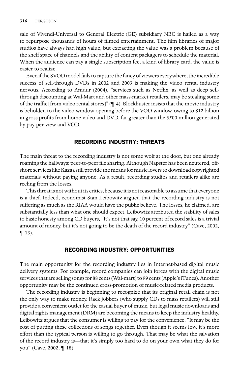sale of Vivendi-Universal to General Electric (GE) subsidiary NBC is hailed as a way to repurpose thousands of hours of filmed entertainment. The film libraries of major studios have always had high value, but extracting the value was a problem because of the shelf space of channels and the ability of content packagers to schedule the material. When the audience can pay a single subscription fee, a kind of library card, the value is easier to realize.

Even if the SVODmodelfails to capture thefancy of viewers everywhere, the incredible success of sell-through DVDs in 2002 and 2003 is making the video rental industry nervous. According to Amdur (2004), "services such as Netflix, as well as deep sellthrough discounting at Wal-Mart and other mass-market retailers, may be stealing some of the traffic [from video rental stores]" (¶ 4). Blockbuster insists that the movie industry is beholden to the video window opening before the VOD window, owing to \$12 billion in gross profits from home video and DVD, far greater than the \$500 million generated by pay-per-view and VOD.

#### RECORDING INDUSTRY: THREATS

The main threat to the recording industry is not some wolf at the door, but one already roaming the hallways: peer-to-peer file sharing. Although Napster has been neutered, offshore services like Kazaa still provide the means for music lovers to download copyrighted materials without paying anyone. As a result, recording studios and retailers alike are reeling from the losses.

This threat is not without its critics, because it is not reasonable to assume that everyone is a thief. Indeed, economist Stan Leibowitz argued that the recording industry is not suffering as much as the RIAA would have the public believe. The losses, he claimed, are substantially less than what one should expect. Leibowitz attributed the stability of sales to basic honesty among CD buyers, "It's not that say, 10 percent of record sales is a trivial amount of money, but it's not going to be the death of the record industry" (Cave, 2002, ¶ 13).

#### RECORDING INDUSTRY: OPPORTUNITIES

The main opportunity for the recording industry lies in Internet-based digital music delivery systems. For example, record companies can join forces with the digital music services that are selling songsfor 88 cents(Wal-mart) to 99 cents(Apple's iTunes). Another opportunity may be the continued cross-promotion of music-related media products.

The recording industry is beginning to recognize that its original retail chain is not the only way to make money. Rack jobbers (who supply CDs to mass retailers) will still provide a convenient outlet for the casual buyer of music, but legal music downloads and digital rights management (DRM) are becoming the means to keep the industry healthy. Leibowitz argues that the consumer is willing to pay for the convenience, "It may be the cost of putting these collections of songs together. Even though it seems low, it's more effort than the typical person is willing to go through. That may be what the salvation of the record industry is—that it's simply too hard to do on your own what they do for you" (Cave, 2002, ¶ 18).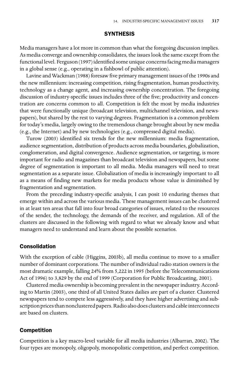#### **SYNTHESIS**

Media managers have a lot more in common than what the foregoing discussion implies. As media converge and ownership consolidates, the issues look the same except from the functional level. Ferguson (1997) identified some unique concerns facing media managers in a global sense (e.g., operating in a fishbowl of public attention).

Lavine andWackman (1988) foresaw five primary management issues of the 1990s and the new millennium: increasing competition, rising fragmentation, human productivity, technology as a change agent, and increasing ownership concentration. The foregoing discussion of industry-specific issues includes three of the five; productivity and concentration are concerns common to all. Competition is felt the most by media industries that were functionally unique (broadcast television, multichannel television, and newspapers), but shared by the rest to varying degrees. Fragmentation is a common problem for today's media, largely owing to the tremendous change brought about by new media (e.g., the Internet) and by new technologies (e.g., compressed digital media).

Turow (2003) identified six trends for the new millennium: media fragmentation, audience segmentation, distribution of products across media boundaries, globalization, conglomeration, and digital convergence. Audience segmentation, or targeting, is more important for radio and magazines than broadcast television and newspapers, but some degree of segmentation is important to all media. Media managers will need to treat segmentation as a separate issue. Globalization of media is increasingly important to all as a means of finding new markets for media products whose value is diminished by fragmentation and segmentation.

From the preceding industry-specific analysis, I can posit 10 enduring themes that emerge within and across the various media. These management issues can be clustered in at least ten areas that fall into four broad categories of issues, related to the resources of the sender, the technology, the demands of the receiver, and regulation. All of the clusters are discussed in the following with regard to what we already know and what managers need to understand and learn about the possible scenarios.

#### Consolidation

With the exception of cable (Higgins, 2003b), all media continue to move to a smaller number of dominant corporations. The number of individual radio station owners is the most dramatic example, falling 24% from 5,222 in 1995 (before the Telecommunications Act of 1996) to 3,829 by the end of 1999 (Corporation for Public Broadcasting, 2001).

Clustered media ownership is becoming prevalent in the newspaper industry. According to Martin (2003), one third of all United States dailies are part of a cluster. Clustered newspapers tend to compete less aggressively, and they have higher advertising and subscription prices than nonclustered papers. Radio also does clusters and cable interconnects are based on clusters.

#### Competition

Competition is a key macro-level variable for all media industries (Albarran, 2002). The four types are monopoly, oligopoly, monopolistic competition, and perfect competition.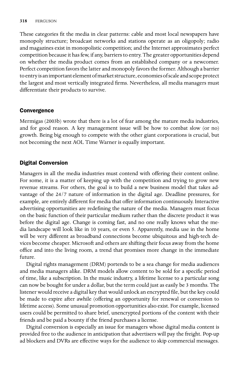These categories fit the media in clear patterns: cable and most local newspapers have monopoly structure; broadcast networks and stations operate as an oligopoly; radio and magazines exist in monopolistic competition; and the Internet approximates perfect competition because it has few, if any, barriers to entry. The greater opportunities depend on whether the media product comes from an established company or a newcomer. Perfect competition favors the latter and monopoly favors the former. Although a barrier to entry is an important element of market structure, economies of scale and scope protect the largest and most vertically integrated firms. Nevertheless, all media managers must differentiate their products to survive.

### Convergence

Mermigas (2003b) wrote that there is a lot of fear among the mature media industries, and for good reason. A key management issue will be how to combat slow (or no) growth. Being big enough to compete with the other giant corporations is crucial, but not becoming the next AOL Time Warner is equally important.

# Digital Conversion

Managers in all the media industries must contend with offering their content online. For some, it is a matter of keeping up with the competition and trying to grow new revenue streams. For others, the goal is to build a new business model that takes advantage of the 24/7 nature of information in the digital age. Deadline pressures, for example, are entirely different for media that offer information continuously. Interactive advertising opportunities are redefining the nature of the media. Managers must focus on the basic function of their particular medium rather than the discrete product it was before the digital age. Change is coming fast, and no one really knows what the media landscape will look like in 10 years, or even 5. Apparently, media use in the home will be very different as broadband connections become ubiquitous and high-tech devices become cheaper. Microsoft and others are shifting their focus away from the home office and into the living room, a trend that promises more change in the immediate future.

Digital rights management (DRM) portends to be a sea change for media audiences and media managers alike. DRM models allow content to be sold for a specific period of time, like a subscription. In the music industry, a lifetime license to a particular song can now be bought for under a dollar, but the term could just as easily be 3 months. The listener would receive a digital key that would unlock an encrypted file, but the key could be made to expire after awhile (offering an opportunity for renewal or conversion to lifetime access). Some unusual promotion opportunities also exist. For example, licensed users could be permitted to share brief, unencrypted portions of the content with their friends and be paid a bounty if the friend purchases a license.

Digital conversion is especially an issue for managers whose digital media content is provided free to the audience in anticipation that advertisers will pay the freight. Pop-up ad blockers and DVRs are effective ways for the audience to skip commercial messages.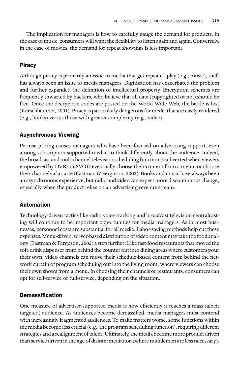The implication for managers is how to carefully gauge the demand for products. In the case of music, consumers will want the flexibility to listen again and again. Conversely, in the case of movies, the demand for repeat showings is less important.

# **Piracy**

Although piracy is primarily an issue to media that get repeated play (e.g., music), theft has always been an issue to media managers. Digitization has exacerbated the problem and further expanded the definition of intellectual property. Encryption schemes are frequently thwarted by hackers, who believe that all data (copyrighted or not) should be free. Once the decryption codes are posted on the World Wide Web, the battle is lost (Kerschbaumer, 2001). Piracy is particularly dangerous for media that are easily rendered (e.g., books) versus those with greater complexity (e.g., video).

# Asynchronous Viewing

Per-use pricing causes managers who have been focused on advertising support, even among subscription-supported media, to think differently about the audience. Indeed, the broadcast and multichannel television scheduling function is subverted when viewers empowered by DVRs or SVOD eventually choose their content from a menu, or choose their channels a la carte (Eastman & Ferguson, 2002). Books and music have always been an asynchronous experience, but radio and video can expect more discontinuous change, especially when the product relies on an advertising revenue stream.

# Automation

Technology-driven tactics like radio voice tracking and broadcast television centralcasting will continue to be important opportunities for media managers. As in most businesses, personnel costs are substantial for all media. Labor-saving methods help cut these expenses.Menu-driven, server-based distribution of video content may take the food analogy (Eastman & Ferguson, 2002) a step further: Like fast-food restaurants that moved the soft-drink dispenser from behind the counter out into dining areas where customers pour their own, video channels can move their schedule-based content from behind the network curtain of program scheduling out into the living room, where viewers can choose their own shows from a menu. In choosing their channels or restaurants, consumers can opt for self-service or full-service, depending on the situation.

# Demassification

One measure of advertiser-supported media is how efficiently it reaches a mass (albeit targeted) audience. As audiences become demassified, media managers must contend with increasingly fragmented audiences. To make matters worse, some functions within the media become less crucial (e.g., the program scheduling function), requiring different strategies and a realignment of talent. Ultimately, the media become more product driven than service driven in the age of disintermediation (where middlemen are less necessary).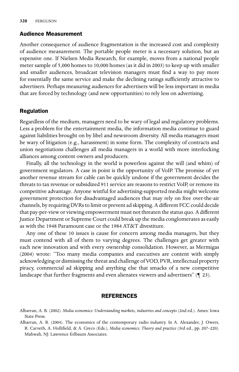#### Audience Measurement

Another consequence of audience fragmentation is the increased cost and complexity of audience measurement. The portable people meter is a necessary solution, but an expensive one. If Nielsen Media Research, for example, moves from a national people meter sample of 5,000 homes to 10,000 homes (as it did in 2003) to keep up with smaller and smaller audiences, broadcast television managers must find a way to pay more for essentially the same service and make the declining ratings sufficiently attractive to advertisers. Perhaps measuring audiences for advertisers will be less important in media that are forced by technology (and new opportunities) to rely less on advertising.

#### Regulation

Regardless of the medium, managers need to be wary of legal and regulatory problems. Less a problem for the entertainment media, the information media continue to guard against liabilities brought on by libel and newsroom diversity. All media managers must be wary of litigation (e.g., harassment) in some form. The complexity of contracts and union negotiations challenges all media managers in a world with more interlocking alliances among content owners and producers.

Finally, all the technology in the world is powerless against the will (and whim) of government regulators. A case in point is the opportunity of VoIP. The promise of yet another revenue stream for cable can be quickly undone if the government decides the threats to tax revenue or subsidized 911 service are reasons to restrict VoIP, or remove its competitive advantage. Anyone wistful for advertising-supported media might welcome government protection for disadvantaged audiences that may rely on free over-the-air channels, by requiring DVRs to limit or prevent ad skipping. A different FCC could decide that pay-per-view or viewing empowerment must not threaten the status quo. A different Justice Department or Supreme Court could break up the media conglomerates as easily as with the 1948 Paramount case or the 1984 AT&T divestiture.

Any one of these 10 issues is cause for concern among media managers, but they must contend with all of them to varying degrees. The challenges get greater with each new innovation and with every ownership consolidation. However, as Mermigas (2004) wrote: "Too many media companies and executives are content with simply acknowledging or dismissing the threat and challenge of VOD, PVR, intellectual property piracy, commercial ad skipping and anything else that smacks of a new competitive landscape that further fragments and even alienates viewers and advertisers" (¶ 23).

#### REFERENCES

Albarran, A. B. (2002). *Media economics: Understanding markets, industries and concepts* (2nd ed.). Ames: Iowa State Press.

Albarran, A. B. (2004). The economics of the contemporary radio industry. In A. Alexander, J. Owers, R. Carveth, A. Hollifield, & A. Greco (Eds.), *Media economics: Theory and practice* (3rd ed., pp. 207–220). Mahwah, NJ: Lawrence Erlbaum Associates.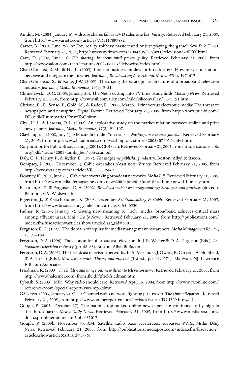- Amdur, M. (2004, January 6). Vidstore shares fall as DVD sales bite biz. *Variety*. Retrieved February 21, 2005, from http://www.variety.com/article/VR1117897892
- Carter, B. (2004, June 29). At Fox, reality robbery mastermind or just playing the game? *New York Times*. Retrieved February 21, 2005, http://www.nytimes.com/2004/06/29/arts/television/29FOX.html
- Cave, D. (2002, June 13). *File sharing: Innocent until proven guilty*. Retrieved February 21, 2005, from http://www.salon.com/tech/feature/2002/06/13/liebowitz/index.html.
- Chan-Olmsted, S. M., & Ha, L. (2003). Internet business models for broadcasters: How television stations perceive and integrate the Internet. *Journal of Broadcasting & Electronic Media, 47*(4), 597–617.
- Chan-Olmstead, S., & Kang, J-W. (2003). Theorizing the strategic architecture of a broadband television industry. *Journal of Media Economics, 16*(1), 3–21.
- Chmielewski, D. C. (2003, January 30). The Net is cutting into TV time, study finds. *Mercury News*. Retrieved February 21, 2005, from http://www.siliconvalley.com/mld/siliconvalley/ 5071191.htm
- Christie, E., Di Senso, P., Gold, M., & Rader, D. (2000, March). Print versus electronic media: The threat to newspapers and newsprint. *Digital Futures.* Retrieved February 21, 2005, from http://www.sric-bi.com/ DF/oldMFsummaries/PrintToC.shtml
- Chyi, H. I., & Lasorsa, D. L. (2002). An explorative study on the market relation between online and print newspapers. *Journal of Media Economics, 15*(2), 91–107.
- Claybaugh, J. (2002, July 1). XM satellite radio "on track." *Washington Business Journal*. Retrieved February 21, 2005, from http://www.bizjournals.com/washington/stories/2002/07/01/daily1.html
- Corporation for Public Broadcasting. (2001). CPB scan. Retrieved February 21, 2005, from http://stations.cpb. org/pdfs/radio/2001/aimhigher/cpb-scan.pdf
- Daly, C. P., Henry, P., & Ryder, E. (1997). *The magazine publishing industry*. Boston: Allyn & Bacon.
- Dempsey, J. (2003, December 5). Cable overtakes b'cast nets. *Variety*. Retrieved February 21, 2005, from http://www.variety.com/article/VR1117896663
- Downey, K.(2001,June 21). Cablefast overtaking broadcast networks.*MediaLife*. Retrieved February 21, 2005, from http://www.medialifemagazine.com/news2001/june01/june18/4 thurs/news1thursday.html
- Eastman, S. T., & Ferguson, D. A. (2002). *Broadcast/cable/web programming: Strategies and practices* (6th ed.). Belmont, CA: Wadsworth.
- Eggerton, J., & Kerschbaumer, K. (2003, December 8). *Broadcasting & Cable*. Retrieved February 21, 2005, from http://www.broadcastingcable.com/article/CA340330
- Fadner, R. (2004, January 9). Giving new meaning to "rich" media, broadband achieves critical mass among affluent users. *Media Daily News.*. Retrieved February 21, 2005, from http://publications.com/ index.cfm?fuseaction=articles.showarticle&art aid=6501
- Ferguson, D. A. (1997). The domain of inquiry for media management researchers. *Media Management Review, 1*, 177–184.
- Ferguson, D. A. (1998). The economics of broadcast television. In J. R. Walker & D. A. Ferguson (Eds.), *The broadcast television industry* (pp. 42–63). Boston: Allyn & Bacon.
- Ferguson, D. A.(2003). The broadcast television networks.In A. Alexander,J. Owers, R. Carveth, A. Hollifield, & A. Greco (Eds.), *Media economics: Theory and practice* (3rd ed., pp. 149–171). Mahwah, NJ: Lawrence Erlbaum Associates.
- Friedman, R. (2003). *The hidden and dangerous new threat to television news*. Retrieved February 21, 2005, from http://www.haleisner.com/from field/ftfrickfriedman.htm
- Fybush, S. (2003). MP3: Why radio should care. Retrieved April 15, 2004, from http://www.rwonline.com/ reference-room/special-report/rwx-mp3.shtml
- G2 News. (2003, January 4). Clear Channel radio network fighting pirates too. *The OnlineReporter*. Retrieved February 21, 2005, from http://www.onlinereporter.com/torbackissues/TOR329.htm#13
- Gough, P. (2003a, October 17). The nation's top-ranked online newspaper site continued to fly high in the third quarter. *Media Daily News*. Retrieved February 21, 2005, from http://www.mediapost.com/ dtls dsp onlineminute.cfm?fnl=031017
- Gough, P. (2003b, November 7). XM: Satellite radio pace accelerates, surpasses PVRs. *Media Daily News*. Retrieved February 21, 2005, from http://publications.mediapost.com/index.cfm?fuseaction= articles.showarticle&art aid=17761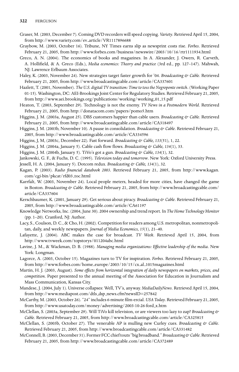- Graser, M. (2003, December 7). Coming DVD recorders will speed copying. *Variety*. Retrieved April 15, 2004, from http://www.variety.com/ev article/VR1117896688
- Graybow, M. (2003, October 16). Tribune, NY Times earns slip as newsprint costs rise. *Forbes*. Retrieved February 21, 2005, from http://www.forbes.com/business/newswire/2003/10/16/rtr1111934.html
- Greco, A. N. (2004). The economics of books and magazines. In A. Alexander, J. Owers, R. Carveth, A. Hollifield, & A. Greco (Eds.), *Media economics: Theory and practice* (3rd ed., pp. 127–147). Mahwah, NJ: Lawrence Erlbaum Associates.
- Haley, K. (2003, November 24). New strategies target faster growth for '04. *Broadcasting & Cable*. Retrieved February 21, 2005, from http://www.broadcastingcable.com/article/CA337601
- Hazlett, T. (2001, November). *The U.S. digital TV transition: Time to toss the Negroponte switch*. (Working Paper 01-15). Washington, DC: AEI-Brookings Joint Center for Regulatory Studies. Retrieved February 21, 2005, from http://www.aei.brookings.org/publications/working/working 01 15.pdf
- Heaton, T. (2003, September 29). Technology is not the enemy. *TV News in a Postmodern World*. Retrieved February 21, 2005, from http://donatacom.com/papers/pomo5.htm
- Higgins, J. M. (2003a, August 25). DBS customers happier than cable users. *Broadcasting & Cable*. Retrieved February 21, 2005, from http://www.broadcastingcable.com/article/CA318497
- Higgins, J. M. (2003b, November 10). A pause in consolidation. *Broadcasting & Cable*. Retrieved February 21, 2005, from http://www.broadcastingcable.com/article/CA334596
- Higgins, J, M, (2003c, December 22). Fast forward. *Broadcasting & Cable, 133*(51), 1, 22.
- Higgins, J. M. (2004a, January 5). Cable cash flow flows. *Broadcasting & Cable, 134*(1), 33.
- Higgins, J. M. (2004b, January 5). TiVo's got a gun. *Broadcasting & Cable*, 134(1), 32.

Jankowski, G. F., & Fuchs, D. C. (1995). *Television today and tomorrow*. New York: Oxford University Press.

- Jessell, H. A. (2004, January 5). Dotcom redux. *Broadcasting & Cable, 134*(1), 32.
- Kagan, P. (2003). *Radio financial databook 2003.* Retrieved February 21, 2005, from http://www.kagan. com/cgi-bin/pkcat/rfd03 toc.html
- Karrfalt, W. (2003, November 24). Local people meters, headed for more cities, have changed the game in Boston. *Broadcasting & Cable*. Retrieved February 21, 2005, from http://www.broadcastingcable.com/ article/CA337604
- Kerschbaumer, K. (2001, January 29). Get serious about piracy. *Broadcasting & Cable*. Retrieved February 21, 2005, from http://www.broadcastingcable.com/article/CA61197
- Knowledge Networks, Inc. (2004, June 30). 2004 ownership and trend report. In *The Home Technology Monitor* (pp. 1–20). Cranford, NJ: Author.
- Lacy, S., Coulson, D. C., & Cho, H. (2002). Competition for readers among U.S. metropolitan, nonmetropolitan, daily, and weekly newspapers. *Journal of Media Economics, 15*(1), 21–40.

Lafayette, J. (2004). ABC makes the case for broadcast. *TV Week*. Retrieved April 15, 2004, from http://www.tvweek.com/topstorys/011204abc.html

- Lavine, J. M., & Wackman, D. B. (1988). *Managing media organizations: Effective leadership of the media*. New York: Longman.
- Lagorce, A. (2003, October 15). Magazines turn to TV for inspiration. *Forbes*. Retrieved February 21, 2005, from http://www.forbes.com/home europe/2003/10/15/cx al 1015magazines.html
- Martin, H. J. (2003, August). *Some effects from horizontal integration of daily newspapers on markets, prices, and competition*. Paper presented to the annual meeting of the Association for Education in Journalism and Mass Communication, Kansas City.
- Mandese, J. (2004, July 1). Universe collapses: Well, TV's, anyway. *MediaDailyNews*. Retrieved April 15, 2004, from http://www.mediapost.com/dtls dsp news.cfm?newsID=257842
- McCarthy, M. (2003, October 26). "24" includes 6-minute film-ercial. *USA Today*. Retrieved February 21, 2005, from http://www.usatoday.com/money/advertising/2003-10-26-ford x.htm
- McClellan, S. (2003a, September 29). Will TiVo kill television, or are viewers too lazy to zap? *Broadcasting & Cable*. Retrieved February 21, 2005, from http://www.broadcastingcable.com/article/CA325815
- McClellan, S. (2003b, October 27). The venerable AP is mulling new Curley cues. *Broadcasting & Cable*. Retrieved February 21, 2005, from http://www.broadcastingcable.com/article/CA331482
- McConnell, B. (2003, December 31). Former FCC chief touts "big broadband." *Broadcasting & Cable*. Retrieved February 21, 2005, from http://www.broadcastingcable.com/article/CA372489